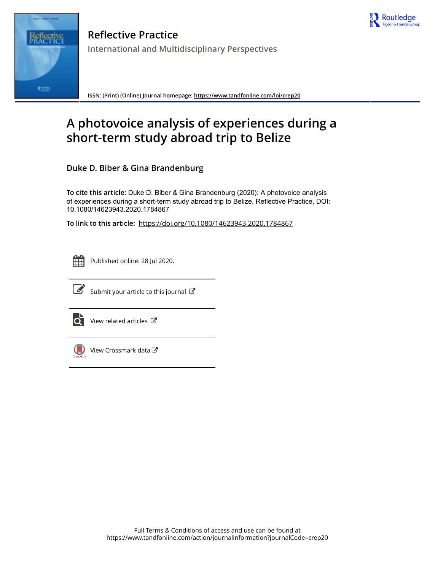



**Reflective Practice International and Multidisciplinary Perspectives**

**ISSN: (Print) (Online) Journal homepage:<https://www.tandfonline.com/loi/crep20>**

# **A photovoice analysis of experiences during a short-term study abroad trip to Belize**

**Duke D. Biber & Gina Brandenburg**

**To cite this article:** Duke D. Biber & Gina Brandenburg (2020): A photovoice analysis of experiences during a short-term study abroad trip to Belize, Reflective Practice, DOI: [10.1080/14623943.2020.1784867](https://www.tandfonline.com/action/showCitFormats?doi=10.1080/14623943.2020.1784867)

**To link to this article:** <https://doi.org/10.1080/14623943.2020.1784867>



Published online: 28 Jul 2020.



 $\overrightarrow{S}$  [Submit your article to this journal](https://www.tandfonline.com/action/authorSubmission?journalCode=crep20&show=instructions)  $\overrightarrow{S}$ 



 $\bullet$  [View related articles](https://www.tandfonline.com/doi/mlt/10.1080/14623943.2020.1784867)  $\mathbb{Z}$ 



 $\bigcirc$  [View Crossmark data](http://crossmark.crossref.org/dialog/?doi=10.1080/14623943.2020.1784867&domain=pdf&date_stamp=2020-07-28) $\mathbb{Z}$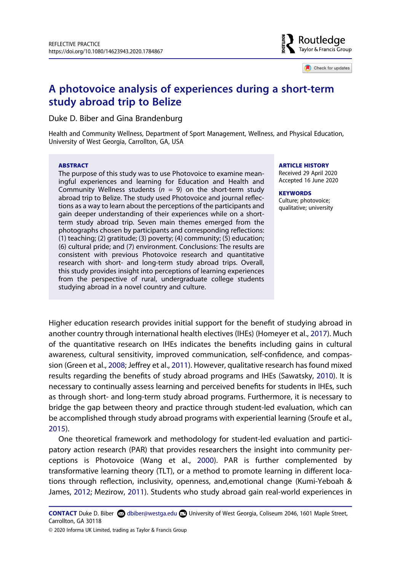

Check for updates

## **A photovoice analysis of experiences during a short-term study abroad trip to Belize**

Duke D. Biber and Gina Brandenburg

Health and Community Wellness, Department of Sport Management, Wellness, and Physical Education, University of West Georgia, Carrollton, GA, USA

#### **ABSTRACT**

The purpose of this study was to use Photovoice to examine meaningful experiences and learning for Education and Health and Community Wellness students (*n* = 9) on the short-term study abroad trip to Belize. The study used Photovoice and journal reflections as a way to learn about the perceptions of the participants and gain deeper understanding of their experiences while on a shortterm study abroad trip. Seven main themes emerged from the photographs chosen by participants and corresponding reflections: (1) teaching; (2) gratitude; (3) poverty; (4) community; (5) education; (6) cultural pride; and (7) environment. Conclusions: The results are consistent with previous Photovoice research and quantitative research with short- and long-term study abroad trips. Overall, this study provides insight into perceptions of learning experiences from the perspective of rural, undergraduate college students studying abroad in a novel country and culture.

**ARTICLE HISTORY** 

Received 29 April 2020 Accepted 16 June 2020

**KEYWORDS**  Culture; photovoice; qualitative; university

<span id="page-1-3"></span><span id="page-1-1"></span><span id="page-1-0"></span>Higher education research provides initial support for the benefit of studying abroad in another country through international health electives (IHEs) (Homeyer et al., [2017\)](#page-9-0). Much of the quantitative research on IHEs indicates the benefits including gains in cultural awareness, cultural sensitivity, improved communication, self-confidence, and compassion (Green et al., [2008;](#page-9-1) Jeffrey et al., [2011\)](#page-9-2). However, qualitative research has found mixed results regarding the benefits of study abroad programs and IHEs (Sawatsky, [2010](#page-9-3)). It is necessary to continually assess learning and perceived benefits for students in IHEs, such as through short- and long-term study abroad programs. Furthermore, it is necessary to bridge the gap between theory and practice through student-led evaluation, which can be accomplished through study abroad programs with experiential learning (Sroufe et al., [2015\)](#page-9-4).

<span id="page-1-5"></span><span id="page-1-4"></span>One theoretical framework and methodology for student-led evaluation and participatory action research (PAR) that provides researchers the insight into community perceptions is Photovoice (Wang et al., [2000](#page-10-0)). PAR is further complemented by transformative learning theory (TLT), or a method to promote learning in different locations through reflection, inclusivity, openness, and,emotional change (Kumi-Yeboah & James, [2012](#page-9-5); Mezirow, [2011\)](#page-9-6). Students who study abroad gain real-world experiences in

<span id="page-1-2"></span>**CONTACT** Duke D. Biber **۞** dbiber@westga.edu **□** University of West Georgia, Coliseum 2046, 1601 Maple Street, Carrollton, GA 30118

© 2020 Informa UK Limited, trading as Taylor & Francis Group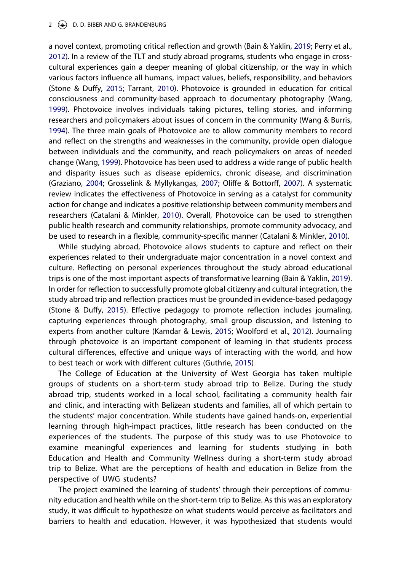#### 2  $\left(\frac{1}{2}\right)$  D. D. BIBER AND G. BRANDENBURG

<span id="page-2-8"></span><span id="page-2-7"></span><span id="page-2-5"></span>a novel context, promoting critical reflection and growth (Bain & Yaklin, [2019;](#page-8-0) Perry et al., [2012\)](#page-9-7). In a review of the TLT and study abroad programs, students who engage in crosscultural experiences gain a deeper meaning of global citizenship, or the way in which various factors influence all humans, impact values, beliefs, responsibility, and behaviors (Stone & Duffy, [2015](#page-9-8); Tarrant, [2010](#page-9-9)). Photovoice is grounded in education for critical consciousness and community-based approach to documentary photography (Wang, [1999\)](#page-10-1). Photovoice involves individuals taking pictures, telling stories, and informing researchers and policymakers about issues of concern in the community (Wang & Burris, [1994\)](#page-9-10). The three main goals of Photovoice are to allow community members to record and reflect on the strengths and weaknesses in the community, provide open dialogue between individuals and the community, and reach policymakers on areas of needed change (Wang, [1999\)](#page-10-1). Photovoice has been used to address a wide range of public health and disparity issues such as disease epidemics, chronic disease, and discrimination (Graziano, [2004;](#page-8-1) Grosselink & Myllykangas, [2007](#page-9-11); Oliffe & Bottorff, [2007\)](#page-9-12). A systematic review indicates the effectiveness of Photovoice in serving as a catalyst for community action for change and indicates a positive relationship between community members and researchers (Catalani & Minkler, [2010](#page-8-2)). Overall, Photovoice can be used to strengthen public health research and community relationships, promote community advocacy, and be used to research in a flexible, community-specific manner (Catalani & Minkler, [2010](#page-8-2)).

<span id="page-2-9"></span><span id="page-2-6"></span><span id="page-2-2"></span><span id="page-2-1"></span><span id="page-2-0"></span>While studying abroad, Photovoice allows students to capture and reflect on their experiences related to their undergraduate major concentration in a novel context and culture. Reflecting on personal experiences throughout the study abroad educational trips is one of the most important aspects of transformative learning (Bain & Yaklin, [2019](#page-8-0)). In order for reflection to successfully promote global citizenry and cultural integration, the study abroad trip and reflection practices must be grounded in evidence-based pedagogy (Stone & Duffy, [2015](#page-9-8)). Effective pedagogy to promote reflection includes journaling, capturing experiences through photography, small group discussion, and listening to experts from another culture (Kamdar & Lewis, [2015](#page-9-13); Woolford et al., [2012\)](#page-10-2). Journaling through photovoice is an important component of learning in that students process cultural differences, effective and unique ways of interacting with the world, and how to best teach or work with different cultures (Guthrie, [2015\)](#page-9-14)

<span id="page-2-4"></span><span id="page-2-3"></span>The College of Education at the University of West Georgia has taken multiple groups of students on a short-term study abroad trip to Belize. During the study abroad trip, students worked in a local school, facilitating a community health fair and clinic, and interacting with Belizean students and families, all of which pertain to the students' major concentration. While students have gained hands-on, experiential learning through high-impact practices, little research has been conducted on the experiences of the students. The purpose of this study was to use Photovoice to examine meaningful experiences and learning for students studying in both Education and Health and Community Wellness during a short-term study abroad trip to Belize. What are the perceptions of health and education in Belize from the perspective of UWG students?

The project examined the learning of students' through their perceptions of community education and health while on the short-term trip to Belize. As this was an exploratory study, it was difficult to hypothesize on what students would perceive as facilitators and barriers to health and education. However, it was hypothesized that students would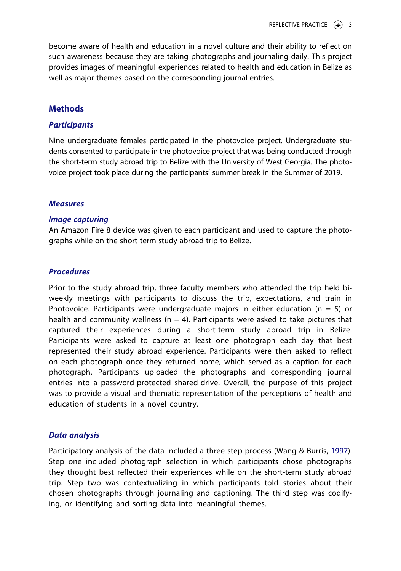become aware of health and education in a novel culture and their ability to reflect on such awareness because they are taking photographs and journaling daily. This project provides images of meaningful experiences related to health and education in Belize as well as major themes based on the corresponding journal entries.

## **Methods**

## *Participants*

Nine undergraduate females participated in the photovoice project. Undergraduate students consented to participate in the photovoice project that was being conducted through the short-term study abroad trip to Belize with the University of West Georgia. The photovoice project took place during the participants' summer break in the Summer of 2019.

## *Measures*

#### *Image capturing*

An Amazon Fire 8 device was given to each participant and used to capture the photographs while on the short-term study abroad trip to Belize.

## *Procedures*

Prior to the study abroad trip, three faculty members who attended the trip held biweekly meetings with participants to discuss the trip, expectations, and train in Photovoice. Participants were undergraduate majors in either education ( $n = 5$ ) or health and community wellness ( $n = 4$ ). Participants were asked to take pictures that captured their experiences during a short-term study abroad trip in Belize. Participants were asked to capture at least one photograph each day that best represented their study abroad experience. Participants were then asked to reflect on each photograph once they returned home, which served as a caption for each photograph. Participants uploaded the photographs and corresponding journal entries into a password-protected shared-drive. Overall, the purpose of this project was to provide a visual and thematic representation of the perceptions of health and education of students in a novel country.

## *Data analysis*

<span id="page-3-0"></span>Participatory analysis of the data included a three-step process (Wang & Burris, [1997](#page-10-3)). Step one included photograph selection in which participants chose photographs they thought best reflected their experiences while on the short-term study abroad trip. Step two was contextualizing in which participants told stories about their chosen photographs through journaling and captioning. The third step was codifying, or identifying and sorting data into meaningful themes.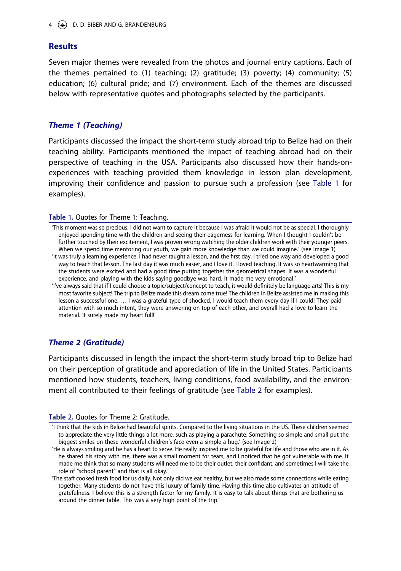#### 4  $\bigcirc$  D. D. BIBER AND G. BRANDENBURG

## **Results**

Seven major themes were revealed from the photos and journal entry captions. Each of the themes pertained to (1) teaching; (2) gratitude; (3) poverty; (4) community; (5) education; (6) cultural pride; and (7) environment. Each of the themes are discussed below with representative quotes and photographs selected by the participants.

## *Theme 1 (Teaching)*

Participants discussed the impact the short-term study abroad trip to Belize had on their teaching ability. Participants mentioned the impact of teaching abroad had on their perspective of teaching in the USA. Participants also discussed how their hands-onexperiences with teaching provided them knowledge in lesson plan development, improving their confidence and passion to pursue such a profession (see [Table 1](#page-4-0) for examples).

#### <span id="page-4-0"></span>**Table 1.** Quotes for Theme 1: Teaching.

'This moment was so precious, I did not want to capture it because I was afraid it would not be as special. I thoroughly enjoyed spending time with the children and seeing their eagerness for learning. When I thought I couldn't be further touched by their excitement, I was proven wrong watching the older children work with their younger peers. When we spend time mentoring our youth, we gain more knowledge than we could imagine.' (see Image 1) 'It was truly a learning experience. I had never taught a lesson, and the first day, I tried one way and developed a good

way to teach that lesson. The last day it was much easier, and I love it. I loved teaching. It was so heartwarming that the students were excited and had a good time putting together the geometrical shapes. It was a wonderful experience, and playing with the kids saying goodbye was hard. It made me very emotional.'

'I've always said that if I could choose a topic/subject/concept to teach, it would definitely be language arts! This is my most favorite subject! The trip to Belize made this dream come true! The children in Belize assisted me in making this lesson a successful one. . . . I was a grateful type of shocked, I would teach them every day if I could! They paid attention with so much intent, they were answering on top of each other, and overall had a love to learn the material. It surely made my heart full!'

## *Theme 2 (Gratitude)*

Participants discussed in length the impact the short-term study broad trip to Belize had on their perception of gratitude and appreciation of life in the United States. Participants mentioned how students, teachers, living conditions, food availability, and the environment all contributed to their feelings of gratitude (see [Table 2](#page-4-1) for examples).

#### <span id="page-4-1"></span>**Table 2.** Quotes for Theme 2: Gratitude.

'I think that the kids in Belize had beautiful spirits. Compared to the living situations in the US. These children seemed to appreciate the very little things a lot more, such as playing a parachute. Something so simple and small put the biggest smiles on these wonderful children's face even a simple a hug.' (see Image 2)

<sup>&#</sup>x27;He is always smiling and he has a heart to serve. He really inspired me to be grateful for life and those who are in it. As he shared his story with me, there was a small moment for tears, and I noticed that he got vulnerable with me. It made me think that so many students will need me to be their outlet, their confidant, and sometimes I will take the role of "school parent" and that is all okay.'

<sup>&#</sup>x27;The staff cooked fresh food for us daily. Not only did we eat healthy, but we also made some connections while eating together. Many students do not have this luxury of family time. Having this time also cultivates an attitude of gratefulness. I believe this is a strength factor for my family. It is easy to talk about things that are bothering us around the dinner table. This was a very high point of the trip.'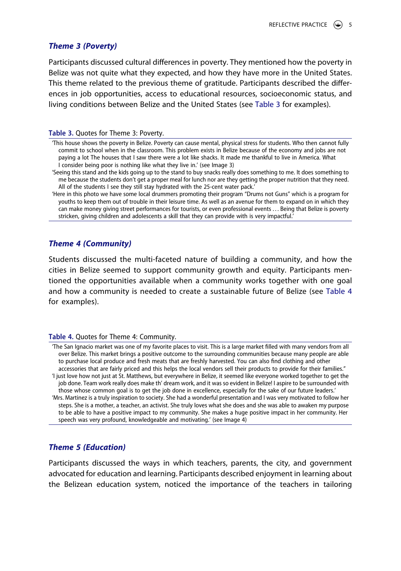## *Theme 3 (Poverty)*

Participants discussed cultural differences in poverty. They mentioned how the poverty in Belize was not quite what they expected, and how they have more in the United States. This theme related to the previous theme of gratitude. Participants described the differences in job opportunities, access to educational resources, socioeconomic status, and living conditions between Belize and the United States (see [Table 3](#page-5-0) for examples).

#### <span id="page-5-0"></span>**Table 3.** Quotes for Theme 3: Poverty.

- 'This house shows the poverty in Belize. Poverty can cause mental, physical stress for students. Who then cannot fully commit to school when in the classroom. This problem exists in Belize because of the economy and jobs are not paying a lot The houses that I saw there were a lot like shacks. It made me thankful to live in America. What I consider being poor is nothing like what they live in.' (see Image 3)
- 'Seeing this stand and the kids going up to the stand to buy snacks really does something to me. It does something to me because the students don't get a proper meal for lunch nor are they getting the proper nutrition that they need. All of the students I see they still stay hydrated with the 25-cent water pack.'
- 'Here in this photo we have some local drummers promoting their program "Drums not Guns" which is a program for youths to keep them out of trouble in their leisure time. As well as an avenue for them to expand on in which they can make money giving street performances for tourists, or even professional events . . . Being that Belize is poverty stricken, giving children and adolescents a skill that they can provide with is very impactful.'

## *Theme 4 (Community)*

Students discussed the multi-faceted nature of building a community, and how the cities in Belize seemed to support community growth and equity. Participants mentioned the opportunities available when a community works together with one goal and how a community is needed to create a sustainable future of Belize (see [Table 4](#page-5-1) for examples).

#### <span id="page-5-1"></span>**Table 4.** Quotes for Theme 4: Community.

'The San Ignacio market was one of my favorite places to visit. This is a large market filled with many vendors from all over Belize. This market brings a positive outcome to the surrounding communities because many people are able to purchase local produce and fresh meats that are freshly harvested. You can also find clothing and other accessories that are fairly priced and this helps the local vendors sell their products to provide for their families." 'I just love how not just at St. Matthews, but everywhere in Belize, it seemed like everyone worked together to get the job done. Team work really does make th' dream work, and it was so evident in Belize! I aspire to be surrounded with those whose common goal is to get the job done in excellence, especially for the sake of our future leaders.' 'Mrs. Martinez is a truly inspiration to society. She had a wonderful presentation and I was very motivated to follow her

steps. She is a mother, a teacher, an activist. She truly loves what she does and she was able to awaken my purpose to be able to have a positive impact to my community. She makes a huge positive impact in her community. Her speech was very profound, knowledgeable and motivating.' (see Image 4)

## *Theme 5 (Education)*

Participants discussed the ways in which teachers, parents, the city, and government advocated for education and learning. Participants described enjoyment in learning about the Belizean education system, noticed the importance of the teachers in tailoring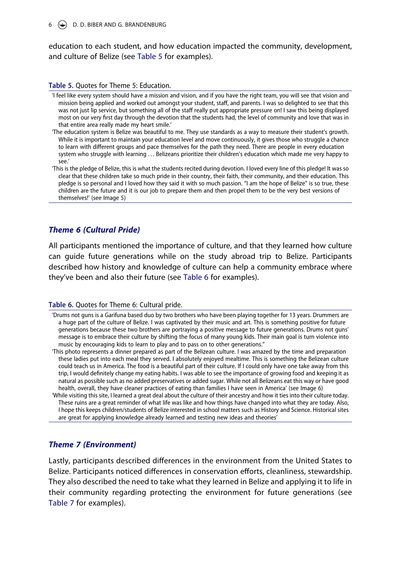$6 \quad \circled{4}$  D. D. BIBER AND G. BRANDENBURG

education to each student, and how education impacted the community, development, and culture of Belize (see [Table 5](#page-6-0) for examples).

<span id="page-6-0"></span>**Table 5.** Quotes for Theme 5: Education.

- 'I feel like every system should have a mission and vision, and if you have the right team, you will see that vision and mission being applied and worked out amongst your student, staff, and parents. I was so delighted to see that this was not just lip service, but something all of the staff really put appropriate pressure on! I saw this being displayed most on our very first day through the devotion that the students had, the level of community and love that was in that entire area really made my heart smile.'
- 'The education system is Belize was beautiful to me. They use standards as a way to measure their student's growth. While it is important to maintain your education level and move continuously, it gives those who struggle a chance to learn with different groups and pace themselves for the path they need. There are people in every education system who struggle with learning . . . Belizeans prioritize their children's education which made me very happy to see.'
- 'This is the pledge of Belize, this is what the students recited during devotion. I loved every line of this pledge! It was so clear that these children take so much pride in their country, their faith, their community, and their education. This pledge is so personal and I loved how they said it with so much passion. "I am the hope of Belize" is so true, these children are the future and it is our job to prepare them and then propel them to be the very best versions of themselves!' (see Image 5)

## *Theme 6 (Cultural Pride)*

All participants mentioned the importance of culture, and that they learned how culture can guide future generations while on the study abroad trip to Belize. Participants described how history and knowledge of culture can help a community embrace where they've been and also their future (see [Table 6](#page-6-1) for examples).

#### <span id="page-6-1"></span>**Table 6.** Quotes for Theme 6: Cultural pride.

- 'Drums not guns is a Garifuna based duo by two brothers who have been playing together for 13 years. Drummers are a huge part of the culture of Belize. I was captivated by their music and art. This is something positive for future generations because these two brothers are portraying a positive message to future generations. Drums not guns' message is to embrace their culture by shifting the focus of many young kids. Their main goal is turn violence into music by encouraging kids to learn to play and to pass on to other generations."
- 'This photo represents a dinner prepared as part of the Belizean culture. I was amazed by the time and preparation these ladies put into each meal they served. I absolutely enjoyed mealtime. This is something the Belizean culture could teach us in America. The food is a beautiful part of their culture. If I could only have one take away from this trip, I would definitely change my eating habits. I was able to see the importance of growing food and keeping it as natural as possible such as no added preservatives or added sugar. While not all Belizeans eat this way or have good health, overall, they have cleaner practices of eating than families I have seen in America' (see Image 6)

'While visiting this site, I learned a great deal about the culture of their ancestry and how it ties into their culture today. These ruins are a great reminder of what life was like and how things have changed into what they are today. Also, I hope this keeps children/students of Belize interested in school matters such as History and Science. Historical sites are great for applying knowledge already learned and testing new ideas and theories'

## *Theme 7 (Environment)*

Lastly, participants described differences in the environment from the United States to Belize. Participants noticed differences in conservation efforts, cleanliness, stewardship. They also described the need to take what they learned in Belize and applying it to life in their community regarding protecting the environment for future generations (see [Table 7](#page-7-0) for examples).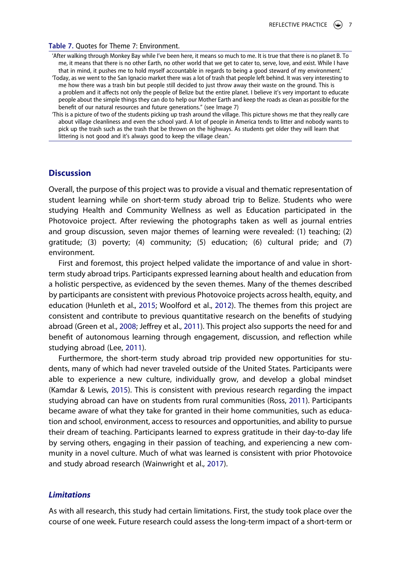#### <span id="page-7-0"></span>**Table 7.** Quotes for Theme 7: Environment.

'After walking through Monkey Bay while I've been here, it means so much to me. It is true that there is no planet B. To me, it means that there is no other Earth, no other world that we get to cater to, serve, love, and exist. While I have that in mind, it pushes me to hold myself accountable in regards to being a good steward of my environment.'

'Today, as we went to the San Ignacio market there was a lot of trash that people left behind. It was very interesting to me how there was a trash bin but people still decided to just throw away their waste on the ground. This is a problem and it affects not only the people of Belize but the entire planet. I believe it's very important to educate people about the simple things they can do to help our Mother Earth and keep the roads as clean as possible for the benefit of our natural resources and future generations." (see Image 7)

'This is a picture of two of the students picking up trash around the village. This picture shows me that they really care about village cleanliness and even the school yard. A lot of people in America tends to litter and nobody wants to pick up the trash such as the trash that be thrown on the highways. As students get older they will learn that littering is not good and it's always good to keep the village clean.'

## **Discussion**

Overall, the purpose of this project was to provide a visual and thematic representation of student learning while on short-term study abroad trip to Belize. Students who were studying Health and Community Wellness as well as Education participated in the Photovoice project. After reviewing the photographs taken as well as journal entries and group discussion, seven major themes of learning were revealed: (1) teaching; (2) gratitude; (3) poverty; (4) community; (5) education; (6) cultural pride; and (7) environment.

<span id="page-7-1"></span>First and foremost, this project helped validate the importance of and value in shortterm study abroad trips. Participants expressed learning about health and education from a holistic perspective, as evidenced by the seven themes. Many of the themes described by participants are consistent with previous Photovoice projects across health, equity, and education (Hunleth et al., [2015](#page-9-15); Woolford et al., [2012](#page-10-2)). The themes from this project are consistent and contribute to previous quantitative research on the benefits of studying abroad (Green et al., [2008](#page-9-1); Jeffrey et al., [2011\)](#page-9-2). This project also supports the need for and benefit of autonomous learning through engagement, discussion, and reflection while studying abroad (Lee, [2011\)](#page-9-16).

<span id="page-7-3"></span><span id="page-7-2"></span>Furthermore, the short-term study abroad trip provided new opportunities for students, many of which had never traveled outside of the United States. Participants were able to experience a new culture, individually grow, and develop a global mindset (Kamdar & Lewis, [2015](#page-9-13)). This is consistent with previous research regarding the impact studying abroad can have on students from rural communities (Ross, [2011](#page-9-17)). Participants became aware of what they take for granted in their home communities, such as education and school, environment, access to resources and opportunities, and ability to pursue their dream of teaching. Participants learned to express gratitude in their day-to-day life by serving others, engaging in their passion of teaching, and experiencing a new community in a novel culture. Much of what was learned is consistent with prior Photovoice and study abroad research (Wainwright et al., [2017](#page-9-18)).

#### <span id="page-7-4"></span>*Limitations*

As with all research, this study had certain limitations. First, the study took place over the course of one week. Future research could assess the long-term impact of a short-term or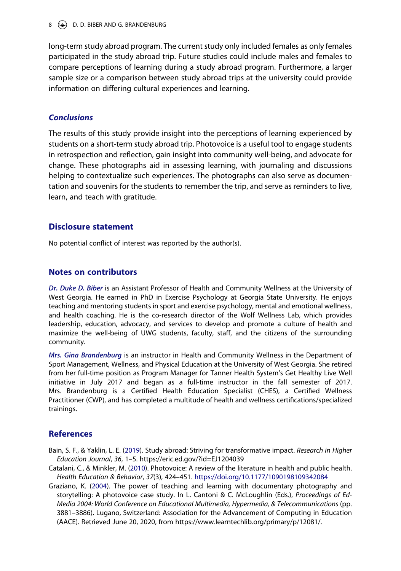8 D. D. BIBER AND G. BRANDENBURG

long-term study abroad program. The current study only included females as only females participated in the study abroad trip. Future studies could include males and females to compare perceptions of learning during a study abroad program. Furthermore, a larger sample size or a comparison between study abroad trips at the university could provide information on differing cultural experiences and learning.

## *Conclusions*

The results of this study provide insight into the perceptions of learning experienced by students on a short-term study abroad trip. Photovoice is a useful tool to engage students in retrospection and reflection, gain insight into community well-being, and advocate for change. These photographs aid in assessing learning, with journaling and discussions helping to contextualize such experiences. The photographs can also serve as documentation and souvenirs for the students to remember the trip, and serve as reminders to live, learn, and teach with gratitude.

## **Disclosure statement**

No potential conflict of interest was reported by the author(s).

## **Notes on contributors**

*Dr. Duke D. Biber* is an Assistant Professor of Health and Community Wellness at the University of West Georgia. He earned in PhD in Exercise Psychology at Georgia State University. He enjoys teaching and mentoring students in sport and exercise psychology, mental and emotional wellness, and health coaching. He is the co-research director of the Wolf Wellness Lab, which provides leadership, education, advocacy, and services to develop and promote a culture of health and maximize the well-being of UWG students, faculty, staff, and the citizens of the surrounding community.

*Mrs. Gina Brandenburg* is an instructor in Health and Community Wellness in the Department of Sport Management, Wellness, and Physical Education at the University of West Georgia. She retired from her full-time position as Program Manager for Tanner Health System's Get Healthy Live Well initiative in July 2017 and began as a full-time instructor in the fall semester of 2017. Mrs. Brandenburg is a Certified Health Education Specialist (CHES), a Certified Wellness Practitioner (CWP), and has completed a multitude of health and wellness certifications/specialized trainings.

## **References**

- <span id="page-8-0"></span>Bain, S. F., & Yaklin, L. E. ([2019\)](#page-2-0). Study abroad: Striving for transformative impact. *Research in Higher Education Journal*, *36*, 1–5. https://eric.ed.gov/?id=EJ1204039
- <span id="page-8-2"></span>Catalani, C., & Minkler, M. [\(2010\)](#page-2-1). Photovoice: A review of the literature in health and public health. *Health Education & Behavior*, *37*(3), 424–451. <https://doi.org/10.1177/1090198109342084>
- <span id="page-8-1"></span>Graziano, K. ([2004](#page-2-2)). The power of teaching and learning with documentary photography and storytelling: A photovoice case study. In L. Cantoni & C. McLoughlin (Eds.), *Proceedings of Ed-Media 2004: World Conference on Educational Multimedia, Hypermedia, & Telecommunications* (pp. 3881–3886). Lugano, Switzerland: Association for the Advancement of Computing in Education (AACE). Retrieved June 20, 2020, from https://www.learntechlib.org/primary/p/12081/.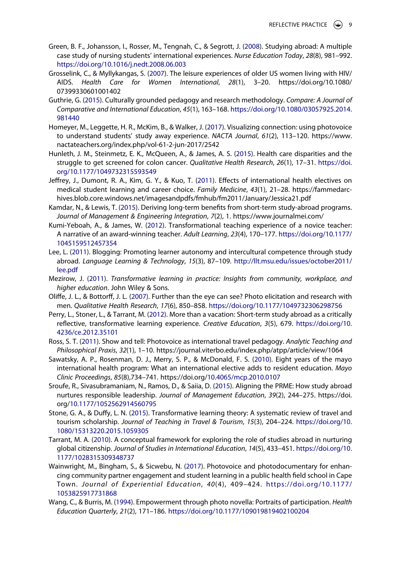- <span id="page-9-1"></span>Green, B. F., Johansson, I., Rosser, M., Tengnah, C., & Segrott, J. ([2008](#page-1-0)). Studying abroad: A multiple case study of nursing students' international experiences. *Nurse Education Today*, *28*(8), 981–992. <https://doi.org/10.1016/j.nedt.2008.06.003>
- <span id="page-9-11"></span>Grosselink, C., & Myllykangas, S. ([2007](#page-2-2)). The leisure experiences of older US women living with HIV/ AIDS. *Health Care for Women International*, *28*(1), 3–20. https://doi.org/10.1080/ 07399330601001402
- <span id="page-9-14"></span>Guthrie, G. [\(2015\)](#page-2-3). Culturally grounded pedagogy and research methodology. *Compare: A Journal of Comparative and International Education*, *45*(1), 163–168. [https://doi.org/10.1080/03057925.2014.](https://doi.org/10.1080/03057925.2014.981440) [981440](https://doi.org/10.1080/03057925.2014.981440)
- <span id="page-9-0"></span>Homeyer, M., Leggette, H. R., McKim, B., & Walker, J. ([2017](#page-1-1)). Visualizing connection: using photovoice to understand students' study away experience. *NACTA Journal*, *61*(2), 113–120. https://www. nactateachers.org/index.php/vol-61-2-jun-2017/2542
- <span id="page-9-15"></span>Hunleth, J. M., Steinmetz, E. K., McQueen, A., & James, A. S. ([2015](#page-7-1)). Health care disparities and the struggle to get screened for colon cancer. *Qualitative Health Research*, *26*(1), 17–31. [https://doi.](https://doi.org/10.1177/1049732315593549) [org/10.1177/1049732315593549](https://doi.org/10.1177/1049732315593549)
- <span id="page-9-2"></span>Jeffrey, J., Dumont, R. A., Kim, G. Y., & Kuo, T. [\(2011\)](#page-1-0). Effects of international health electives on medical student learning and career choice. *Family Medicine*, *43*(1), 21–28. https://fammedarchives.blob.core.windows.net/imagesandpdfs/fmhub/fm2011/January/Jessica21.pdf
- <span id="page-9-13"></span>Kamdar, N., & Lewis, T. [\(2015\)](#page-2-4). Deriving long-term benefits from short-term study-abroad programs. *Journal of Management & Engineering Integration*, *7*(2), 1. https://www.journalmei.com/
- <span id="page-9-5"></span>Kumi-Yeboah, A., & James, W. [\(2012\)](#page-1-2). Transformational teaching experience of a novice teacher: A narrative of an award-winning teacher. *Adult Learning*, *23*(4), 170–177. [https://doi.org/10.1177/](https://doi.org/10.1177/1045159512457354) [1045159512457354](https://doi.org/10.1177/1045159512457354)
- <span id="page-9-16"></span>Lee, L. [\(2011\)](#page-7-2). Blogging: Promoting learner autonomy and intercultural competence through study abroad. *Language Learning & Technology*, *15*(3), 87–109. [http://llt.msu.edu/issues/october2011/](http://llt.msu.edu/issues/october2011/lee.pdf) [lee.pdf](http://llt.msu.edu/issues/october2011/lee.pdf)
- <span id="page-9-6"></span>Mezirow, J. ([2011](#page-1-2)). *Transformative learning in practice: Insights from community, workplace, and higher education*. John Wiley & Sons.
- <span id="page-9-12"></span>Oliffe, J. L., & Bottorff, J. L. ([2007](#page-2-2)). Further than the eye can see? Photo elicitation and research with men. *Qualitative Health Research*, *17*(6), 850–858. <https://doi.org/10.1177/1049732306298756>
- <span id="page-9-7"></span>Perry, L., Stoner, L., & Tarrant, M. ([2012](#page-2-5)). More than a vacation: Short-term study abroad as a critically reflective, transformative learning experience. *Creative Education*, *3*(5), 679. [https://doi.org/10.](https://doi.org/10.4236/ce.2012.35101) [4236/ce.2012.35101](https://doi.org/10.4236/ce.2012.35101)
- <span id="page-9-17"></span>Ross, S. T. [\(2011\)](#page-7-3). Show and tell: Photovoice as international travel pedagogy. *Analytic Teaching and Philosophical Praxis*, *32*(1), 1–10. https://journal.viterbo.edu/index.php/atpp/article/view/1064
- <span id="page-9-3"></span>Sawatsky, A. P., Rosenman, D. J., Merry, S. P., & McDonald, F. S. [\(2010](#page-1-3)). Eight years of the mayo international health program: What an international elective adds to resident education. *Mayo Clinic Proceedings*, *85*(8),734–741. https://doi.org/[10.4065/mcp.2010.0107](https://doi.org/10.4065/mcp.2010.0107)
- <span id="page-9-4"></span>Sroufe, R., Sivasubramaniam, N., Ramos, D., & Saiia, D. ([2015](#page-1-4)). Aligning the PRME: How study abroad nurtures responsible leadership. *Journal of Management Education*, *39*(2), 244–275. https://doi. org/[10.1177/1052562914560795](https://doi.org/10.1177/1052562914560795)
- <span id="page-9-8"></span>Stone, G. A., & Duffy, L. N. [\(2015\)](#page-2-6). Transformative learning theory: A systematic review of travel and tourism scholarship. *Journal of Teaching in Travel & Tourism*, *15*(3), 204–224. [https://doi.org/10.](https://doi.org/10.1080/15313220.2015.1059305) [1080/15313220.2015.1059305](https://doi.org/10.1080/15313220.2015.1059305)
- <span id="page-9-9"></span>Tarrant, M. A. [\(2010\)](#page-2-7). A conceptual framework for exploring the role of studies abroad in nurturing global citizenship. *Journal of Studies in International Education*, *14*(5), 433–451. [https://doi.org/10.](https://doi.org/10.1177/1028315309348737) [1177/1028315309348737](https://doi.org/10.1177/1028315309348737)
- <span id="page-9-18"></span>Wainwright, M., Bingham, S., & Sicwebu, N. [\(2017\)](#page-7-4). Photovoice and photodocumentary for enhancing community partner engagement and student learning in a public health field school in Cape Town. *Journal of Experiential Education*, *40*(4), 409–424. [https://doi.org/10.1177/](https://doi.org/10.1177/1053825917731868)  [1053825917731868](https://doi.org/10.1177/1053825917731868)
- <span id="page-9-10"></span>Wang, C., & Burris, M. ([1994](#page-2-8)). Empowerment through photo novella: Portraits of participation. *Health Education Quarterly*, *21*(2), 171–186. <https://doi.org/10.1177/109019819402100204>